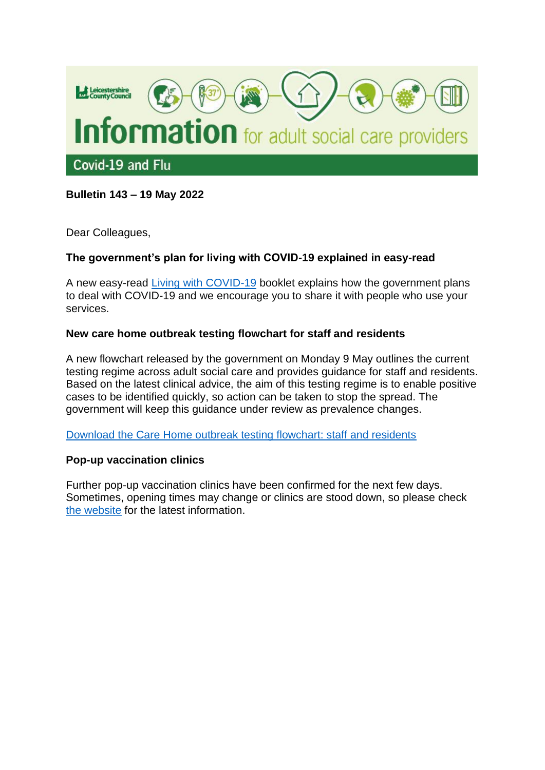

# **Bulletin 143 – 19 May 2022**

Dear Colleagues,

### **The government's plan for living with COVID-19 explained in easy-read**

A new easy-read [Living with COVID-19](https://assets.publishing.service.gov.uk/government/uploads/system/uploads/attachment_data/file/1073762/Living_with_COVID_Easy_Read_Web_Accessible.pdf) booklet explains how the government plans to deal with COVID-19 and we encourage you to share it with people who use your services.

### **New care home outbreak testing flowchart for staff and residents**

A new flowchart released by the government on Monday 9 May outlines the current testing regime across adult social care and provides guidance for staff and residents. Based on the latest clinical advice, the aim of this testing regime is to enable positive cases to be identified quickly, so action can be taken to stop the spread. The government will keep this guidance under review as prevalence changes.

[Download the Care Home outbreak testing flowchart: staff and residents](https://assets.publishing.service.gov.uk/government/uploads/system/uploads/attachment_data/file/1073913/Staff-Residents-Outbreak-Care-home-chart.pdf)

## **Pop-up vaccination clinics**

Further pop-up vaccination clinics have been confirmed for the next few days. Sometimes, opening times may change or clinics are stood down, so please check [the website](https://www.leicestercityccg.nhs.uk/my-health/coronavirus-advice/coronavirus-vaccine/) for the latest information.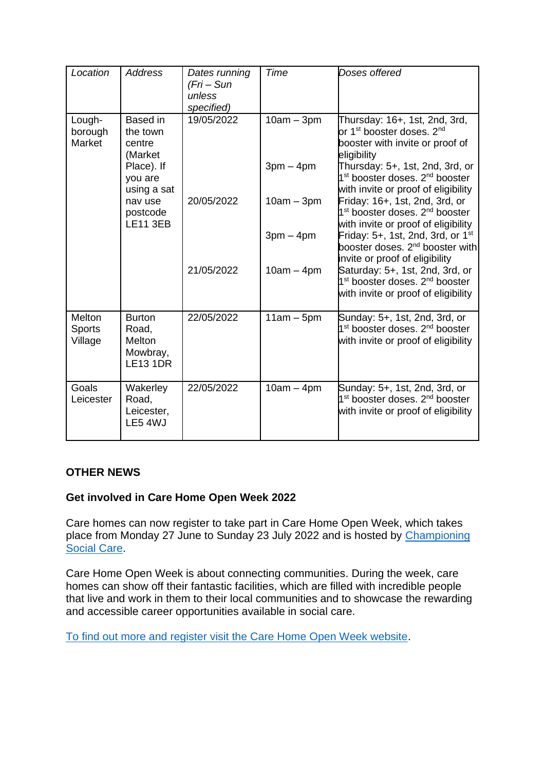| Location                           | <b>Address</b>                                                                 | Dates running<br>(Fri – Sun<br>unless<br>specified) | Time                        | Doses offered                                                                                                                                                                                                                |
|------------------------------------|--------------------------------------------------------------------------------|-----------------------------------------------------|-----------------------------|------------------------------------------------------------------------------------------------------------------------------------------------------------------------------------------------------------------------------|
| Lough-<br>borough<br>Market        | Based in<br>the town<br>centre<br>(Market                                      | 19/05/2022                                          | $10am - 3pm$                | Thursday: 16+, 1st, 2nd, 3rd,<br>or 1 <sup>st</sup> booster doses. 2 <sup>nd</sup><br>booster with invite or proof of<br>eligibility                                                                                         |
|                                    | Place). If<br>you are<br>using a sat<br>nav use<br>postcode<br><b>LE11 3EB</b> | 20/05/2022                                          | $3pm - 4pm$<br>$10am - 3pm$ | Thursday: 5+, 1st, 2nd, 3rd, or<br>1 <sup>st</sup> booster doses. 2 <sup>nd</sup> booster<br>with invite or proof of eligibility<br>Friday: 16+, 1st, 2nd, 3rd, or<br>1 <sup>st</sup> booster doses. 2 <sup>nd</sup> booster |
|                                    |                                                                                |                                                     | $3pm - 4pm$                 | with invite or proof of eligibility<br>Friday: 5+, 1st, 2nd, 3rd, or 1 <sup>st</sup><br>booster doses. 2 <sup>nd</sup> booster with<br>invite or proof of eligibility                                                        |
|                                    |                                                                                | 21/05/2022                                          | $10am - 4pm$                | Saturday: 5+, 1st, 2nd, 3rd, or<br>1 <sup>st</sup> booster doses. 2 <sup>nd</sup> booster<br>with invite or proof of eligibility                                                                                             |
| Melton<br><b>Sports</b><br>Village | <b>Burton</b><br>Road,<br>Melton<br>Mowbray,<br><b>LE13 1DR</b>                | 22/05/2022                                          | $11am - 5pm$                | Sunday: 5+, 1st, 2nd, 3rd, or<br>1 <sup>st</sup> booster doses. 2 <sup>nd</sup> booster<br>with invite or proof of eligibility                                                                                               |
| Goals<br>Leicester                 | Wakerley<br>Road,<br>Leicester,<br>LE5 4WJ                                     | 22/05/2022                                          | $10am - 4pm$                | Sunday: 5+, 1st, 2nd, 3rd, or<br>1 <sup>st</sup> booster doses. 2 <sup>nd</sup> booster<br>with invite or proof of eligibility                                                                                               |

## **OTHER NEWS**

## **Get involved in Care Home Open Week 2022**

Care homes can now register to take part in Care Home Open Week, which takes place from Monday 27 June to Sunday 23 July 2022 and is hosted by [Championing](https://championingsocialcare.org.uk/)  [Social Care.](https://championingsocialcare.org.uk/)

Care Home Open Week is about connecting communities. During the week, care homes can show off their fantastic facilities, which are filled with incredible people that live and work in them to their local communities and to showcase the rewarding and accessible career opportunities available in social care.

[To find out more and register visit the Care Home Open Week website.](https://championingsocialcare.org.uk/care-home-open-day/)